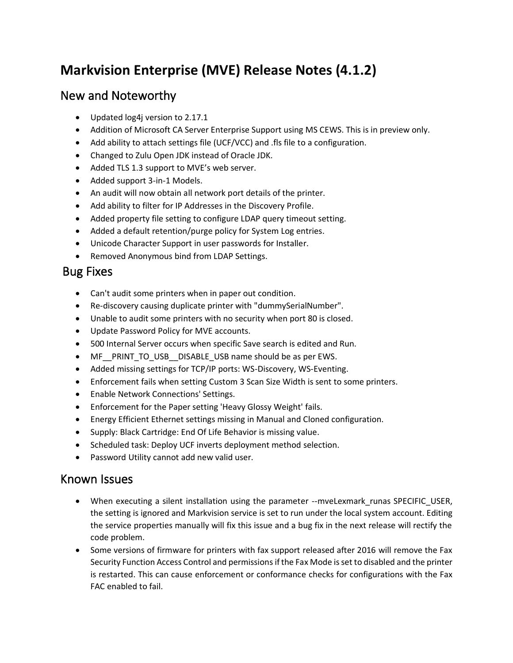# **Markvision Enterprise (MVE) Release Notes (4.1.2)**

### New and Noteworthy

- Updated log4j version to 2.17.1
- Addition of Microsoft CA Server Enterprise Support using MS CEWS. This is in preview only.
- Add ability to attach settings file (UCF/VCC) and .fls file to a configuration.
- Changed to Zulu Open JDK instead of Oracle JDK.
- Added TLS 1.3 support to MVE's web server.
- Added support 3-in-1 Models.
- An audit will now obtain all network port details of the printer.
- Add ability to filter for IP Addresses in the Discovery Profile.
- Added property file setting to configure LDAP query timeout setting.
- Added a default retention/purge policy for System Log entries.
- Unicode Character Support in user passwords for Installer.
- Removed Anonymous bind from LDAP Settings.

## Bug Fixes

- Can't audit some printers when in paper out condition.
- Re-discovery causing duplicate printer with "dummySerialNumber".
- Unable to audit some printers with no security when port 80 is closed.
- Update Password Policy for MVE accounts.
- 500 Internal Server occurs when specific Save search is edited and Run.
- MF\_PRINT\_TO\_USB\_DISABLE\_USB name should be as per EWS.
- Added missing settings for TCP/IP ports: WS-Discovery, WS-Eventing.
- Enforcement fails when setting Custom 3 Scan Size Width is sent to some printers.
- Enable Network Connections' Settings.
- Enforcement for the Paper setting 'Heavy Glossy Weight' fails.
- Energy Efficient Ethernet settings missing in Manual and Cloned configuration.
- Supply: Black Cartridge: End Of Life Behavior is missing value.
- Scheduled task: Deploy UCF inverts deployment method selection.
- Password Utility cannot add new valid user.

#### Known Issues

- When executing a silent installation using the parameter --mveLexmark runas SPECIFIC USER, the setting is ignored and Markvision service is set to run under the local system account. Editing the service properties manually will fix this issue and a bug fix in the next release will rectify the code problem.
- Some versions of firmware for printers with fax support released after 2016 will remove the Fax Security Function Access Control and permissions if the Fax Mode is set to disabled and the printer is restarted. This can cause enforcement or conformance checks for configurations with the Fax FAC enabled to fail.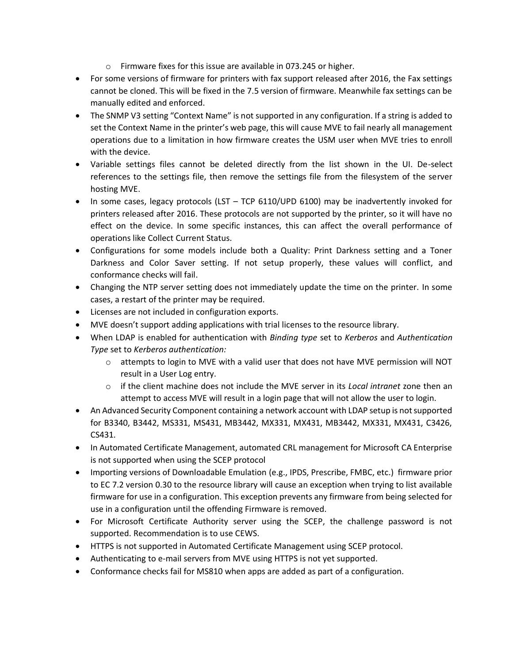- o Firmware fixes for this issue are available in 073.245 or higher.
- For some versions of firmware for printers with fax support released after 2016, the Fax settings cannot be cloned. This will be fixed in the 7.5 version of firmware. Meanwhile fax settings can be manually edited and enforced.
- The SNMP V3 setting "Context Name" is not supported in any configuration. If a string is added to set the Context Name in the printer's web page, this will cause MVE to fail nearly all management operations due to a limitation in how firmware creates the USM user when MVE tries to enroll with the device.
- Variable settings files cannot be deleted directly from the list shown in the UI. De-select references to the settings file, then remove the settings file from the filesystem of the server hosting MVE.
- In some cases, legacy protocols (LST TCP 6110/UPD 6100) may be inadvertently invoked for printers released after 2016. These protocols are not supported by the printer, so it will have no effect on the device. In some specific instances, this can affect the overall performance of operations like Collect Current Status.
- Configurations for some models include both a Quality: Print Darkness setting and a Toner Darkness and Color Saver setting. If not setup properly, these values will conflict, and conformance checks will fail.
- Changing the NTP server setting does not immediately update the time on the printer. In some cases, a restart of the printer may be required.
- Licenses are not included in configuration exports.
- MVE doesn't support adding applications with trial licenses to the resource library.
- When LDAP is enabled for authentication with *Binding type* set to *Kerberos* and *Authentication Type* set to *Kerberos authentication:* 
	- $\circ$  attempts to login to MVE with a valid user that does not have MVE permission will NOT result in a User Log entry.
	- o if the client machine does not include the MVE server in its *Local intranet* zone then an attempt to access MVE will result in a login page that will not allow the user to login.
- An Advanced Security Component containing a network account with LDAP setup is not supported for B3340, B3442, MS331, MS431, MB3442, MX331, MX431, MB3442, MX331, MX431, C3426, CS431.
- In Automated Certificate Management, automated CRL management for Microsoft CA Enterprise is not supported when using the SCEP protocol
- Importing versions of Downloadable Emulation (e.g., IPDS, Prescribe, FMBC, etc.) firmware prior to EC 7.2 version 0.30 to the resource library will cause an exception when trying to list available firmware for use in a configuration. This exception prevents any firmware from being selected for use in a configuration until the offending Firmware is removed.
- For Microsoft Certificate Authority server using the SCEP, the challenge password is not supported. Recommendation is to use CEWS.
- HTTPS is not supported in Automated Certificate Management using SCEP protocol.
- Authenticating to e-mail servers from MVE using HTTPS is not yet supported.
- Conformance checks fail for MS810 when apps are added as part of a configuration.